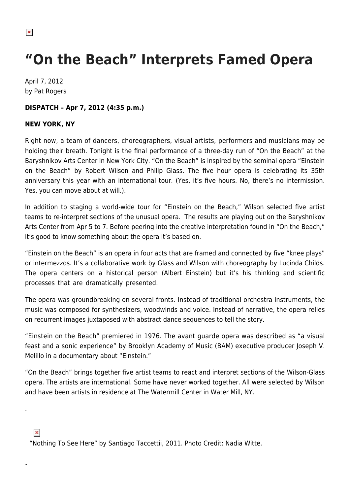## **"On the Beach" Interprets Famed Opera**

April 7, 2012 by Pat Rogers

## **DISPATCH – Apr 7, 2012 (4:35 p.m.)**

## **NEW YORK, NY**

Right now, a team of dancers, choreographers, visual artists, performers and musicians may be holding their breath. Tonight is the final performance of a three-day run of "On the Beach" at the Baryshnikov Arts Center in New York City. "On the Beach" is inspired by the seminal opera "Einstein on the Beach" by Robert Wilson and Philip Glass. The five hour opera is celebrating its 35th anniversary this year with an international tour. (Yes, it's five hours. No, there's no intermission. Yes, you can move about at will.).

In addition to staging a world-wide tour for "Einstein on the Beach," Wilson selected five artist teams to re-interpret sections of the unusual opera. The results are playing out on the Baryshnikov Arts Center from Apr 5 to 7. Before peering into the creative interpretation found in "On the Beach," it's good to know something about the opera it's based on.

"Einstein on the Beach" is an opera in four acts that are framed and connected by five "knee plays" or intermezzos. It's a collaborative work by Glass and Wilson with choreography by Lucinda Childs. The opera centers on a historical person (Albert Einstein) but it's his thinking and scientific processes that are dramatically presented.

The opera was groundbreaking on several fronts. Instead of traditional orchestra instruments, the music was composed for synthesizers, woodwinds and voice. Instead of narrative, the opera relies on recurrent images juxtaposed with abstract dance sequences to tell the story.

"Einstein on the Beach" premiered in 1976. The avant guarde opera was described as "a visual feast and a sonic experience" by Brooklyn Academy of Music (BAM) executive producer Joseph V. Melillo in a documentary about "Einstein."

"On the Beach" brings together five artist teams to react and interpret sections of the Wilson-Glass opera. The artists are international. Some have never worked together. All were selected by Wilson and have been artists in residence at The Watermill Center in Water Mill, NY.

## $\pmb{\times}$

.

**.**

"Nothing To See Here" by Santiago Taccettii, 2011. Photo Credit: Nadia Witte.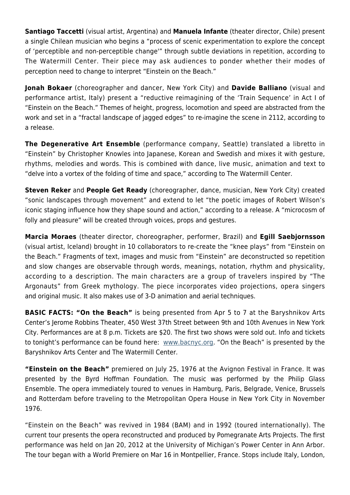**Santiago Taccetti** (visual artist, Argentina) and **Manuela Infante** (theater director, Chile) present a single Chilean musician who begins a "process of scenic experimentation to explore the concept of 'perceptible and non-perceptible change'" through subtle deviations in repetition, according to The Watermill Center. Their piece may ask audiences to ponder whether their modes of perception need to change to interpret "Einstein on the Beach."

**Jonah Bokaer** (choreographer and dancer, New York City) and **Davide Balliano** (visual and performance artist, Italy) present a "reductive reimagining of the 'Train Sequence' in Act I of "Einstein on the Beach." Themes of height, progress, locomotion and speed are abstracted from the work and set in a "fractal landscape of jagged edges" to re-imagine the scene in 2112, according to a release.

**The Degenerative Art Ensemble** (performance company, Seattle) translated a libretto in "Einstein" by Christopher Knowles into Japanese, Korean and Swedish and mixes it with gesture, rhythms, melodies and words. This is combined with dance, live music, animation and text to "delve into a vortex of the folding of time and space," according to The Watermill Center.

**Steven Reker** and **People Get Ready** (choreographer, dance, musician, New York City) created "sonic landscapes through movement" and extend to let "the poetic images of Robert Wilson's iconic staging influence how they shape sound and action," according to a release. A "microcosm of folly and pleasure" will be created through voices, props and gestures.

**Marcia Moraes** (theater director, choreographer, performer, Brazil) and **Egill Saebjornsson** (visual artist, Iceland) brought in 10 collaborators to re-create the "knee plays" from "Einstein on the Beach." Fragments of text, images and music from "Einstein" are deconstructed so repetition and slow changes are observable through words, meanings, notation, rhythm and physicality, according to a description. The main characters are a group of travelers inspired by "The Argonauts" from Greek mythology. The piece incorporates video projections, opera singers and original music. It also makes use of 3-D animation and aerial techniques.

**BASIC FACTS: "On the Beach"** is being presented from Apr 5 to 7 at the Baryshnikov Arts Center's Jerome Robbins Theater, 450 West 37th Street between 9th and 10th Avenues in New York City. Performances are at 8 p.m. Tickets are \$20. The first two shows were sold out. Info and tickets to tonight's performance can be found here: [www.bacnyc.org.](http://www.bacnyc.org/events/performances/on_the_beach) "On the Beach" is presented by the Baryshnikov Arts Center and The Watermill Center.

**"Einstein on the Beach"** premiered on July 25, 1976 at the Avignon Festival in France. It was presented by the Byrd Hoffman Foundation. The music was performed by the Philip Glass Ensemble. The opera immediately toured to venues in Hamburg, Paris, Belgrade, Venice, Brussels and Rotterdam before traveling to the Metropolitan Opera House in New York City in November 1976.

"Einstein on the Beach" was revived in 1984 (BAM) and in 1992 (toured internationally). The current tour presents the opera reconstructed and produced by Pomegranate Arts Projects. The first performance was held on Jan 20, 2012 at the University of Michigan's Power Center in Ann Arbor. The tour began with a World Premiere on Mar 16 in Montpellier, France. Stops include Italy, London,